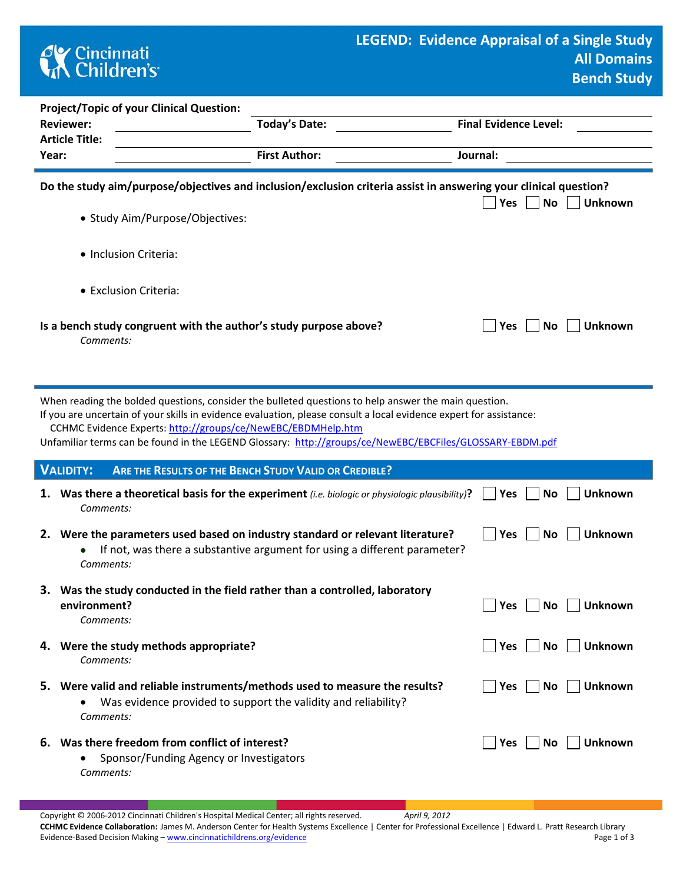## **CK** Cincinnati<br> **Children's**

| <b>Project/Topic of your Clinical Question:</b><br><b>Reviewer:</b><br><b>Article Title:</b>                                                                                                                                                                                                                                                                                                           | <b>Today's Date:</b>                                                                                                                                        | <b>Final Evidence Level:</b>       |  |
|--------------------------------------------------------------------------------------------------------------------------------------------------------------------------------------------------------------------------------------------------------------------------------------------------------------------------------------------------------------------------------------------------------|-------------------------------------------------------------------------------------------------------------------------------------------------------------|------------------------------------|--|
| Year:                                                                                                                                                                                                                                                                                                                                                                                                  | <b>First Author:</b>                                                                                                                                        | Journal:                           |  |
| Do the study aim/purpose/objectives and inclusion/exclusion criteria assist in answering your clinical question?<br><b>No</b><br><b>Unknown</b><br>Yes                                                                                                                                                                                                                                                 |                                                                                                                                                             |                                    |  |
| • Study Aim/Purpose/Objectives:                                                                                                                                                                                                                                                                                                                                                                        |                                                                                                                                                             |                                    |  |
| • Inclusion Criteria:                                                                                                                                                                                                                                                                                                                                                                                  |                                                                                                                                                             |                                    |  |
| • Exclusion Criteria:                                                                                                                                                                                                                                                                                                                                                                                  |                                                                                                                                                             |                                    |  |
| Is a bench study congruent with the author's study purpose above?<br>Comments:                                                                                                                                                                                                                                                                                                                         |                                                                                                                                                             | <b>Unknown</b><br>Yes<br>No        |  |
| When reading the bolded questions, consider the bulleted questions to help answer the main question.<br>If you are uncertain of your skills in evidence evaluation, please consult a local evidence expert for assistance:<br>CCHMC Evidence Experts: http://groups/ce/NewEBC/EBDMHelp.htm<br>Unfamiliar terms can be found in the LEGEND Glossary: http://groups/ce/NewEBC/EBCFiles/GLOSSARY-EBDM.pdf |                                                                                                                                                             |                                    |  |
| <b>VALIDITY:</b>                                                                                                                                                                                                                                                                                                                                                                                       | ARE THE RESULTS OF THE BENCH STUDY VALID OR CREDIBLE?                                                                                                       |                                    |  |
| 1.<br>Comments:                                                                                                                                                                                                                                                                                                                                                                                        | Was there a theoretical basis for the experiment <i>(i.e. biologic or physiologic plausibility)</i> ?                                                       | <b>Unknown</b><br>Yes<br>No        |  |
| Comments:                                                                                                                                                                                                                                                                                                                                                                                              | 2. Were the parameters used based on industry standard or relevant literature?<br>If not, was there a substantive argument for using a different parameter? | <b>Unknown</b><br>Yes<br>No        |  |
| Was the study conducted in the field rather than a controlled, laboratory<br>environment?<br>Comments:                                                                                                                                                                                                                                                                                                 |                                                                                                                                                             | Yes<br><b>No</b><br>Unknown        |  |
| 4. Were the study methods appropriate?<br>Comments:                                                                                                                                                                                                                                                                                                                                                    |                                                                                                                                                             | <b>No</b><br>Yes<br><b>Unknown</b> |  |
| 5. Were valid and reliable instruments/methods used to measure the results?<br>Comments:                                                                                                                                                                                                                                                                                                               | Was evidence provided to support the validity and reliability?                                                                                              | Yes<br><b>No</b><br>Unknown        |  |
| 6. Was there freedom from conflict of interest?<br>Sponsor/Funding Agency or Investigators<br>Comments:                                                                                                                                                                                                                                                                                                |                                                                                                                                                             | Unknown<br><b>Yes</b><br>No        |  |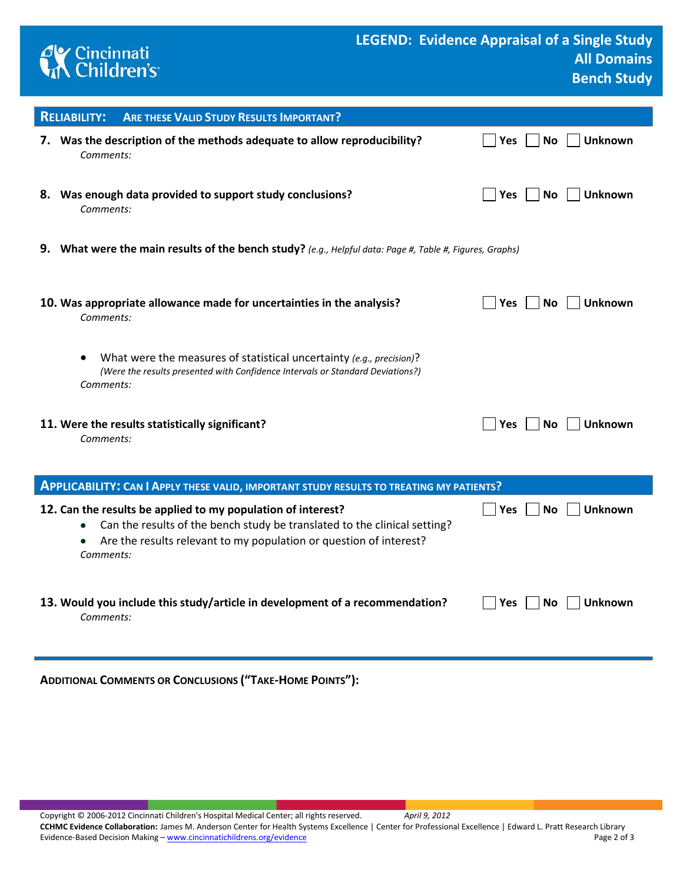

| <b>RELIABILITY:</b><br><b>ARE THESE VALID STUDY RESULTS IMPORTANT?</b>                                                                                                   |                                           |  |
|--------------------------------------------------------------------------------------------------------------------------------------------------------------------------|-------------------------------------------|--|
| 7. Was the description of the methods adequate to allow reproducibility?<br>Comments:                                                                                    | <b>Unknown</b><br>No<br>Yes               |  |
| Was enough data provided to support study conclusions?<br>8.<br>Comments:                                                                                                | <b>Yes</b><br>No<br><b>Unknown</b>        |  |
| 9.<br>What were the main results of the bench study? (e.g., Helpful data: Page #, Table #, Figures, Graphs)                                                              |                                           |  |
| 10. Was appropriate allowance made for uncertainties in the analysis?<br>Comments:                                                                                       | <b>Yes</b><br>Unknown<br><b>No</b>        |  |
| What were the measures of statistical uncertainty (e.g., precision)?<br>٠<br>(Were the results presented with Confidence Intervals or Standard Deviations?)<br>Comments: |                                           |  |
| 11. Were the results statistically significant?<br>Comments:                                                                                                             | <b>Yes</b><br><b>Unknown</b><br><b>No</b> |  |
| <b>APPLICABILITY: CAN I APPLY THESE VALID, IMPORTANT STUDY RESULTS TO TREATING MY PATIENTS?</b>                                                                          |                                           |  |

| 12. Can the results be applied to my population of interest?<br>Can the results of the bench study be translated to the clinical setting?<br>$\bullet$<br>Are the results relevant to my population or question of interest?<br>$\bullet$<br>Comments: | <b>Yes</b><br><b>Unknown</b><br>No.                           |
|--------------------------------------------------------------------------------------------------------------------------------------------------------------------------------------------------------------------------------------------------------|---------------------------------------------------------------|
| 13. Would you include this study/article in development of a recommendation?<br>Comments:                                                                                                                                                              | $\overline{\phantom{a}}$   Yes<br><b>No</b><br><b>Unknown</b> |

**ADDITIONAL COMMENTS OR CONCLUSIONS ("TAKE-HOME POINTS"):** 

Copyright © 2006-2012 Cincinnati Children's Hospital Medical Center; all rights reserved. *April 9, 2012* **CCHMC Evidence Collaboration:** James M. Anderson Center for Health Systems Excellence | Center for Professional Excellence | Edward L. Pratt Research Library Evidence-Based Decision Making – [www.cincinnatichildrens.org/evidence](http://www.cincinnatichildrens.org/service/j/anderson-center/evidence-based-care/legend/) Page 2 of 3